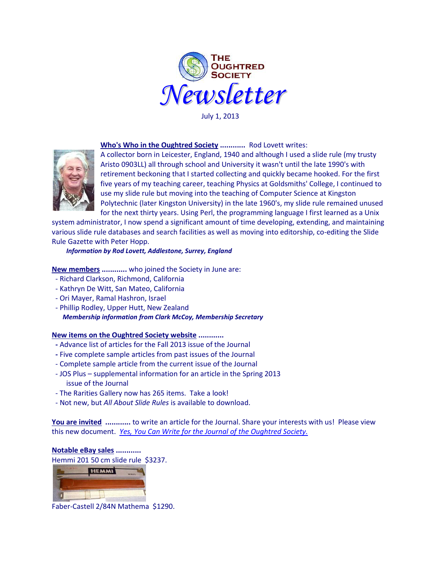

July 1, 2013

## **Who's Who in the Oughtred Society ............** Rod Lovett writes:



A collector born in Leicester, England, 1940 and although I used a slide rule (my trusty Aristo 0903LL) all through school and University it wasn't until the late 1990's with retirement beckoning that I started collecting and quickly became hooked. For the first five years of my teaching career, teaching Physics at Goldsmiths' College, I continued to use my slide rule but moving into the teaching of Computer Science at Kingston Polytechnic (later Kingston University) in the late 1960's, my slide rule remained unused for the next thirty years. Using Perl, the programming language I first learned as a Unix

system administrator, I now spend a significant amount of time developing, extending, and maintaining various slide rule databases and search facilities as well as moving into editorship, co-editing the Slide Rule Gazette with Peter Hopp.

*Information by Rod Lovett, Addlestone, Surrey, England*

**New members ............** who joined the Society in June are:

- Richard Clarkson, Richmond, California
- Kathryn De Witt, San Mateo, California
- Ori Mayer, Ramal Hashron, Israel
- Phillip Rodley, Upper Hutt, New Zealand *Membership information from Clark McCoy, Membership Secretary*

## **New items on the Oughtred Society website ............**

- **-** Advance list of articles for the Fall 2013 issue of the Journal
- **-** Five complete sample articles from past issues of the Journal
- Complete sample article from the current issue of the Journal
- JOS Plus supplemental information for an article in the Spring 2013 issue of the Journal
- The Rarities Gallery now has 265 items. Take a look!
- Not new, but *All About Slide Rules* is available to download.

**You are invited ............** to write an article for the Journal. Share your interests with us! Please view this new document. *Yes, [You Can Write for the Journal of the Oughtred Society.](http://www.oughtred.org/jos/Writing_For_JOS_revB2.pdf)* 

## **Notable eBay sales ............**

Hemmi 201 50 cm slide rule \$3237.



Faber-Castell 2/84N Mathema \$1290.